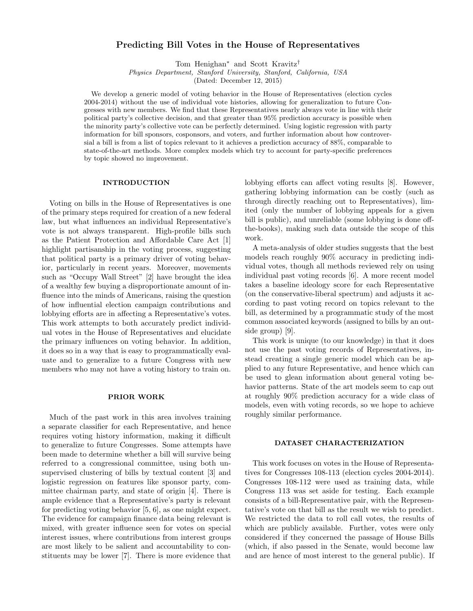# Predicting Bill Votes in the House of Representatives

Tom Henighan<sup>∗</sup> and Scott Kravitz†

Physics Department, Stanford University, Stanford, California, USA

(Dated: December 12, 2015)

We develop a generic model of voting behavior in the House of Representatives (election cycles 2004-2014) without the use of individual vote histories, allowing for generalization to future Congresses with new members. We find that these Representatives nearly always vote in line with their political party's collective decision, and that greater than 95% prediction accuracy is possible when the minority party's collective vote can be perfectly determined. Using logistic regression with party information for bill sponsors, cosponsors, and voters, and further information about how controversial a bill is from a list of topics relevant to it achieves a prediction accuracy of 88%, comparable to state-of-the-art methods. More complex models which try to account for party-specific preferences by topic showed no improvement.

## INTRODUCTION

Voting on bills in the House of Representatives is one of the primary steps required for creation of a new federal law, but what influences an individual Representative's vote is not always transparent. High-profile bills such as the Patient Protection and Affordable Care Act [1] highlight partisanship in the voting process, suggesting that political party is a primary driver of voting behavior, particularly in recent years. Moreover, movements such as "Occupy Wall Street" [2] have brought the idea of a wealthy few buying a disproportionate amount of influence into the minds of Americans, raising the question of how influential election campaign contributions and lobbying efforts are in affecting a Representative's votes. This work attempts to both accurately predict individual votes in the House of Representatives and elucidate the primary influences on voting behavior. In addition, it does so in a way that is easy to programmatically evaluate and to generalize to a future Congress with new members who may not have a voting history to train on.

#### PRIOR WORK

Much of the past work in this area involves training a separate classifier for each Representative, and hence requires voting history information, making it difficult to generalize to future Congresses. Some attempts have been made to determine whether a bill will survive being referred to a congressional committee, using both unsupervised clustering of bills by textual content [3] and logistic regression on features like sponsor party, committee chairman party, and state of origin [4]. There is ample evidence that a Representative's party is relevant for predicting voting behavior [5, 6], as one might expect. The evidence for campaign finance data being relevant is mixed, with greater influence seen for votes on special interest issues, where contributions from interest groups are most likely to be salient and accountability to constituents may be lower [7]. There is more evidence that

lobbying efforts can affect voting results [8]. However, gathering lobbying information can be costly (such as through directly reaching out to Representatives), limited (only the number of lobbying appeals for a given bill is public), and unreliable (some lobbying is done offthe-books), making such data outside the scope of this work.

A meta-analysis of older studies suggests that the best models reach roughly 90% accuracy in predicting individual votes, though all methods reviewed rely on using individual past voting records [6]. A more recent model takes a baseline ideology score for each Representative (on the conservative-liberal spectrum) and adjusts it according to past voting record on topics relevant to the bill, as determined by a programmatic study of the most common associated keywords (assigned to bills by an outside group) [9].

This work is unique (to our knowledge) in that it does not use the past voting records of Representatives, instead creating a single generic model which can be applied to any future Representative, and hence which can be used to glean information about general voting behavior patterns. State of the art models seem to cap out at roughly 90% prediction accuracy for a wide class of models, even with voting records, so we hope to achieve roughly similar performance.

#### DATASET CHARACTERIZATION

This work focuses on votes in the House of Representatives for Congresses 108-113 (election cycles 2004-2014). Congresses 108-112 were used as training data, while Congress 113 was set aside for testing. Each example consists of a bill-Representative pair, with the Representative's vote on that bill as the result we wish to predict. We restricted the data to roll call votes, the results of which are publicly available. Further, votes were only considered if they concerned the passage of House Bills (which, if also passed in the Senate, would become law and are hence of most interest to the general public). If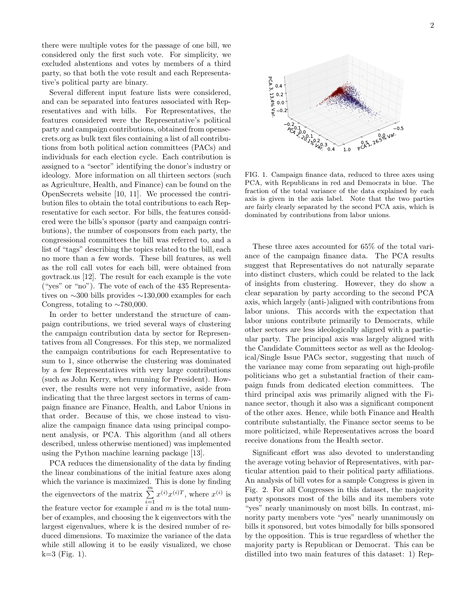there were multiple votes for the passage of one bill, we considered only the first such vote. For simplicity, we excluded abstentions and votes by members of a third party, so that both the vote result and each Representative's political party are binary.

Several different input feature lists were considered, and can be separated into features associated with Representatives and with bills. For Representatives, the features considered were the Representative's political party and campaign contributions, obtained from opensecrets.org as bulk text files containing a list of all contributions from both political action committees (PACs) and individuals for each election cycle. Each contribution is assigned to a "sector" identifying the donor's industry or ideology. More information on all thirteen sectors (such as Agriculture, Health, and Finance) can be found on the OpenSecrets website [10, 11]. We processed the contribution files to obtain the total contributions to each Representative for each sector. For bills, the features considered were the bills's sponsor (party and campaign contributions), the number of cosponsors from each party, the congressional committees the bill was referred to, and a list of "tags" describing the topics related to the bill, each no more than a few words. These bill features, as well as the roll call votes for each bill, were obtained from govtrack.us [12]. The result for each example is the vote ("yes" or "no"). The vote of each of the 435 Representatives on ∼300 bills provides ∼130,000 examples for each Congress, totaling to  $\sim$ 780,000. reduces as the literation fig. The restricted method in the specific properties as the distance of the controlline in the specific properties are the specific properties of the controlline in the specific properties are t

In order to better understand the structure of campaign contributions, we tried several ways of clustering the campaign contribution data by sector for Representatives from all Congresses. For this step, we normalized the campaign contributions for each Representative to sum to 1, since otherwise the clustering was dominated by a few Representatives with very large contributions (such as John Kerry, when running for President). However, the results were not very informative, aside from indicating that the three largest sectors in terms of campaign finance are Finance, Health, and Labor Unions in that order. Because of this, we chose instead to visualize the campaign finance data using principal component analysis, or PCA. This algorithm (and all others described, unless otherwise mentioned) was implemented using the Python machine learning package [13].

PCA reduces the dimensionality of the data by finding the linear combinations of the initial feature axes along which the variance is maximized. This is done by finding the eigenvectors of the matrix  $\sum_{n=1}^{\infty}$  $i=1$  $x^{(i)}x^{(i)T}$ , where  $x^{(i)}$  is the feature vector for example  $i$  and  $m$  is the total number of examples, and choosing the k eigenvectors with the largest eigenvalues, where k is the desired number of reduced dimensions. To maximize the variance of the data while still allowing it to be easily visualized, we chose



FIG. 1. Campaign finance data, reduced to three axes using PCA, with Republicans in red and Democrats in blue. The fraction of the total variance of the data explained by each axis is given in the axis label. Note that the two parties are fairly clearly separated by the second PCA axis, which is dominated by contributions from labor unions.

These three axes accounted for 65% of the total variance of the campaign finance data. The PCA results suggest that Representatives do not naturally separate into distinct clusters, which could be related to the lack of insights from clustering. However, they do show a clear separation by party according to the second PCA axis, which largely (anti-)aligned with contributions from labor unions. This accords with the expectation that labor unions contribute primarily to Democrats, while other sectors are less ideologically aligned with a particular party. The principal axis was largely aligned with the Candidate Committees sector as well as the Ideological/Single Issue PACs sector, suggesting that much of the variance may come from separating out high-profile politicians who get a substantial fraction of their campaign funds from dedicated election committees. The third principal axis was primarily aligned with the Finance sector, though it also was a significant component of the other axes. Hence, while both Finance and Health contribute substantially, the Finance sector seems to be more politicized, while Representatives across the board receive donations from the Health sector.

Significant effort was also devoted to understanding the average voting behavior of Representatives, with particular attention paid to their political party affiliations. An analysis of bill votes for a sample Congress is given in Fig. 2. For all Congresses in this dataset, the majority party sponsors most of the bills and its members vote "yes" nearly unanimously on most bills. In contrast, minority party members vote "yes" nearly unanimously on bills it sponsored, but votes bimodally for bills sponsored by the opposition. This is true regardless of whether the majority party is Republican or Democrat. This can be distilled into two main features of this dataset: 1) Rep-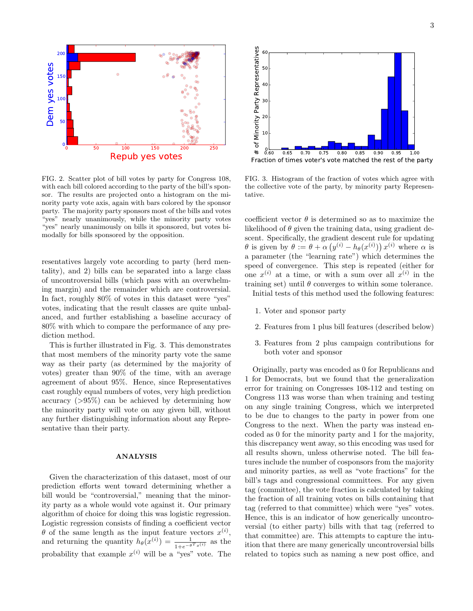

FIG. 2. Scatter plot of bill votes by party for Congress 108, with each bill colored according to the party of the bill's sponsor. The results are projected onto a histogram on the minority party vote axis, again with bars colored by the sponsor party. The majority party sponsors most of the bills and votes "yes" nearly unanimously, while the minority party votes "yes" nearly unanimously on bills it sponsored, but votes bimodally for bills sponsored by the opposition.

resentatives largely vote according to party (herd mentality), and 2) bills can be separated into a large class of uncontroversial bills (which pass with an overwhelming margin) and the remainder which are controversial. In fact, roughly 80% of votes in this dataset were "yes" votes, indicating that the result classes are quite unbalanced, and further establishing a baseline accuracy of 80% with which to compare the performance of any prediction method.

This is further illustrated in Fig. 3. This demonstrates that most members of the minority party vote the same way as their party (as determined by the majority of votes) greater than 90% of the time, with an average agreement of about 95%. Hence, since Representatives cast roughly equal numbers of votes, very high prediction accuracy  $(>95\%)$  can be achieved by determining how the minority party will vote on any given bill, without any further distinguishing information about any Representative than their party.

#### ANALYSIS

Given the characterization of this dataset, most of our prediction efforts went toward determining whether a bill would be "controversial," meaning that the minority party as a whole would vote against it. Our primary algorithm of choice for doing this was logistic regression. Logistic regression consists of finding a coefficient vector  $\theta$  of the same length as the input feature vectors  $x^{(i)}$ , and returning the quantity  $h_{\theta}(x^{(i)}) = \frac{1}{1 + e^{-\theta^T x^{(i)}}}$  as the probability that example  $x^{(i)}$  will be a "yes" vote. The



FIG. 3. Histogram of the fraction of votes which agree with the collective vote of the party, by minority party Representative.

coefficient vector  $\theta$  is determined so as to maximize the likelihood of  $\theta$  given the training data, using gradient descent. Specifically, the gradient descent rule for updating  $\theta$  is given by  $\theta := \theta + \alpha \left( y^{(i)} - h_{\theta}(x^{(i)}) \right) x^{(i)}$  where  $\alpha$  is a parameter (the "learning rate") which determines the speed of convergence. This step is repeated (either for one  $x^{(i)}$  at a time, or with a sum over all  $x^{(i)}$  in the training set) until  $\theta$  converges to within some tolerance.

Initial tests of this method used the following features:

- 1. Voter and sponsor party
- 2. Features from 1 plus bill features (described below)
- 3. Features from 2 plus campaign contributions for both voter and sponsor

Originally, party was encoded as 0 for Republicans and 1 for Democrats, but we found that the generalization error for training on Congresses 108-112 and testing on Congress 113 was worse than when training and testing on any single training Congress, which we interpreted to be due to changes to the party in power from one Congress to the next. When the party was instead encoded as 0 for the minority party and 1 for the majority, this discrepancy went away, so this encoding was used for all results shown, unless otherwise noted. The bill features include the number of cosponsors from the majority and minority parties, as well as "vote fractions" for the bill's tags and congressional committees. For any given tag (committee), the vote fraction is calculated by taking the fraction of all training votes on bills containing that tag (referred to that committee) which were "yes" votes. Hence, this is an indicator of how generically uncontroversial (to either party) bills with that tag (referred to that committee) are. This attempts to capture the intuition that there are many generically uncontroversial bills related to topics such as naming a new post office, and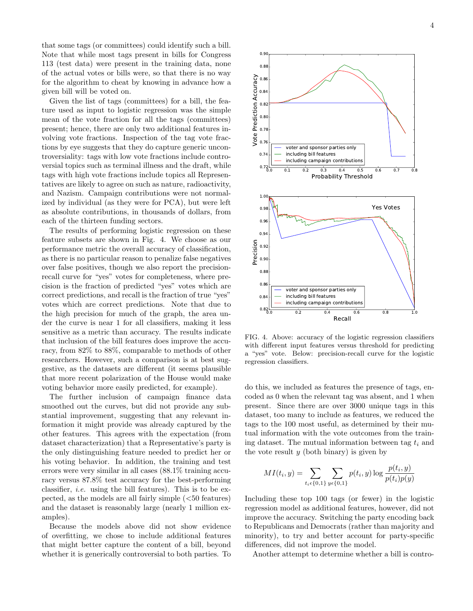that some tags (or committees) could identify such a bill. Note that while most tags present in bills for Congress 113 (test data) were present in the training data, none of the actual votes or bills were, so that there is no way for the algorithm to cheat by knowing in advance how a given bill will be voted on.

Given the list of tags (committees) for a bill, the feature used as input to logistic regression was the simple mean of the vote fraction for all the tags (committees) present; hence, there are only two additional features involving vote fractions. Inspection of the tag vote fractions by eye suggests that they do capture generic uncontroversiality: tags with low vote fractions include controversial topics such as terminal illness and the draft, while tags with high vote fractions include topics all Representatives are likely to agree on such as nature, radioactivity, and Nazism. Campaign contributions were not normalized by individual (as they were for PCA), but were left as absolute contributions, in thousands of dollars, from each of the thirteen funding sectors.

The results of performing logistic regression on these feature subsets are shown in Fig. 4. We choose as our performance metric the overall accuracy of classification, as there is no particular reason to penalize false negatives over false positives, though we also report the precisionrecall curve for "yes" votes for completeness, where precision is the fraction of predicted "yes" votes which are correct predictions, and recall is the fraction of true "yes" votes which are correct predictions. Note that due to the high precision for much of the graph, the area under the curve is near 1 for all classifiers, making it less sensitive as a metric than accuracy. The results indicate that inclusion of the bill features does improve the accuracy, from 82% to 88%, comparable to methods of other researchers. However, such a comparison is at best suggestive, as the datasets are different (it seems plausible that more recent polarization of the House would make voting behavior more easily predicted, for example).

The further inclusion of campaign finance data smoothed out the curves, but did not provide any substantial improvement, suggesting that any relevant information it might provide was already captured by the other features. This agrees with the expectation (from dataset characterization) that a Representative's party is the only distinguishing feature needed to predict her or his voting behavior. In addition, the training and test errors were very similar in all cases (88.1% training accuracy versus 87.8% test accuracy for the best-performing classifier, *i.e.* using the bill features). This is to be expected, as the models are all fairly simple  $(*50*$  features) and the dataset is reasonably large (nearly 1 million examples).

Because the models above did not show evidence of overfitting, we chose to include additional features that might better capture the content of a bill, beyond whether it is generically controversial to both parties. To



FIG. 4. Above: accuracy of the logistic regression classifiers with different input features versus threshold for predicting a "yes" vote. Below: precision-recall curve for the logistic regression classifiers.

do this, we included as features the presence of tags, encoded as 0 when the relevant tag was absent, and 1 when present. Since there are over 3000 unique tags in this dataset, too many to include as features, we reduced the tags to the 100 most useful, as determined by their mutual information with the vote outcomes from the training dataset. The mutual information between tag  $t_i$  and the vote result  $y$  (both binary) is given by

$$
MI(t_i, y) = \sum_{t_i \in \{0, 1\}} \sum_{y \in \{0, 1\}} p(t_i, y) \log \frac{p(t_i, y)}{p(t_i)p(y)}
$$

Including these top 100 tags (or fewer) in the logistic regression model as additional features, however, did not improve the accuracy. Switching the party encoding back to Republicans and Democrats (rather than majority and minority), to try and better account for party-specific differences, did not improve the model.

Another attempt to determine whether a bill is contro-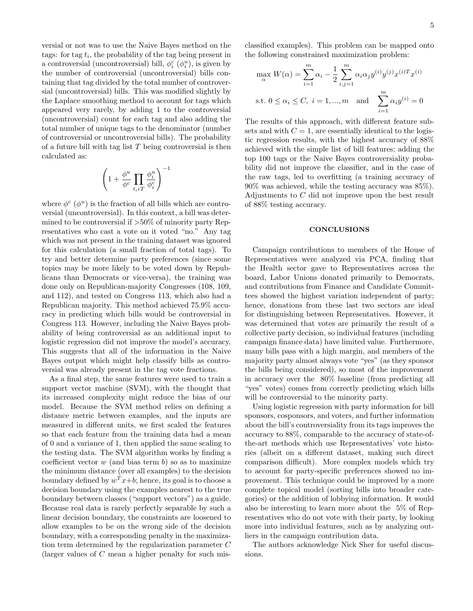versial or not was to use the Naive Bayes method on the tags: for tag  $t_i$ , the probability of the tag being present in a controversial (uncontroversial) bill,  $\phi_i^c$  ( $\phi_i^u$ ), is given by the number of controversial (uncontroversial) bills containing that tag divided by the total number of controversial (uncontroversial) bills. This was modified slightly by the Laplace smoothing method to account for tags which appeared very rarely, by adding 1 to the controversial (uncontroversial) count for each tag and also adding the total number of unique tags to the denominator (number of controversial or uncontroversial bills). The probability of a future bill with tag list  $T$  being controversial is then calculated as:

$$
\left(1+\frac{\phi^u}{\phi^c}\prod_{t_i\epsilon T}\frac{\phi_i^u}{\phi_i^c}\right)^{-1}
$$

where  $\phi^c$  ( $\phi^u$ ) is the fraction of all bills which are controversial (uncontroversial). In this context, a bill was determined to be controversial if  $>50\%$  of minority party Representatives who cast a vote on it voted "no." Any tag which was not present in the training dataset was ignored for this calculation (a small fraction of total tags). To try and better determine party preferences (since some topics may be more likely to be voted down by Republicans than Democrats or vice-versa), the training was done only on Republican-majority Congresses (108, 109, and 112), and tested on Congress 113, which also had a Republican majority. This method achieved 75.9% accuracy in predicting which bills would be controversial in Congress 113. However, including the Naive Bayes probability of being controversial as an additional input to logistic regression did not improve the model's accuracy. This suggests that all of the information in the Naive Bayes output which might help classify bills as controversial was already present in the tag vote fractions.

As a final step, the same features were used to train a support vector machine (SVM), with the thought that its increased complexity might reduce the bias of our model. Because the SVM method relies on defining a distance metric between examples, and the inputs are measured in different units, we first scaled the features so that each feature from the training data had a mean of 0 and a variance of 1, then applied the same scaling to the testing data. The SVM algorithm works by finding a coefficient vector  $w$  (and bias term  $b$ ) so as to maximize the minimum distance (over all examples) to the decision boundary defined by  $w^T x+b$ ; hence, its goal is to choose a decision boundary using the examples nearest to the true boundary between classes ("support vectors") as a guide. Because real data is rarely perfectly separable by such a linear decision boundary, the constraints are loosened to allow examples to be on the wrong side of the decision boundary, with a corresponding penalty in the maximization term determined by the regularization parameter C (larger values of  $C$  mean a higher penalty for such misclassified examples). This problem can be mapped onto the following constrained maximization problem:

$$
\max_{\alpha} W(\alpha) = \sum_{i=1}^{m} \alpha_i - \frac{1}{2} \sum_{i,j=1}^{m} \alpha_i \alpha_j y^{(i)} y^{(j)} x^{(i)T} x^{(i)}
$$
  
s.t.  $0 \le \alpha_i \le C, i = 1, ..., m$  and 
$$
\sum_{i=1}^{m} \alpha_i y^{(i)} = 0
$$

The results of this approach, with different feature subsets and with  $C = 1$ , are essentially identical to the logistic regression results, with the highest accuracy of 88% achieved with the simple list of bill features; adding the top 100 tags or the Naive Bayes controversiality probability did not improve the classifier, and in the case of the raw tags, led to overfitting (a training accuracy of 90% was achieved, while the testing accuracy was 85%). Adjustments to C did not improve upon the best result of 88% testing accuracy.

### **CONCLUSIONS**

Campaign contributions to members of the House of Representatives were analyzed via PCA, finding that the Health sector gave to Representatives across the board, Labor Unions donated primarily to Democrats, and contributions from Finance and Candidate Committees showed the highest variation independent of party; hence, donations from these last two sectors are ideal for distinguishing between Representatives. However, it was determined that votes are primarily the result of a collective party decision, so individual features (including campaign finance data) have limited value. Furthermore, many bills pass with a high margin, and members of the majority party almost always vote "yes" (as they sponsor the bills being considered), so most of the improvement in accuracy over the 80% baseline (from predicting all "yes" votes) comes from correctly predicting which bills will be controversial to the minority party.

Using logistic regression with party information for bill sponsors, cosponsors, and voters, and further information about the bill's controversiality from its tags improves the accuracy to 88%, comparable to the accuracy of state-ofthe-art methods which use Representatives' vote histories (albeit on a different dataset, making such direct comparison difficult). More complex models which try to account for party-specific preferences showed no improvement. This technique could be improved by a more complete topical model (sorting bills into broader categories) or the addition of lobbying information. It would also be interesting to learn more about the 5% of Representatives who do not vote with their party, by looking more into individual features, such as by analyzing outliers in the campaign contribution data.

The authors acknowledge Nick Sher for useful discussions.